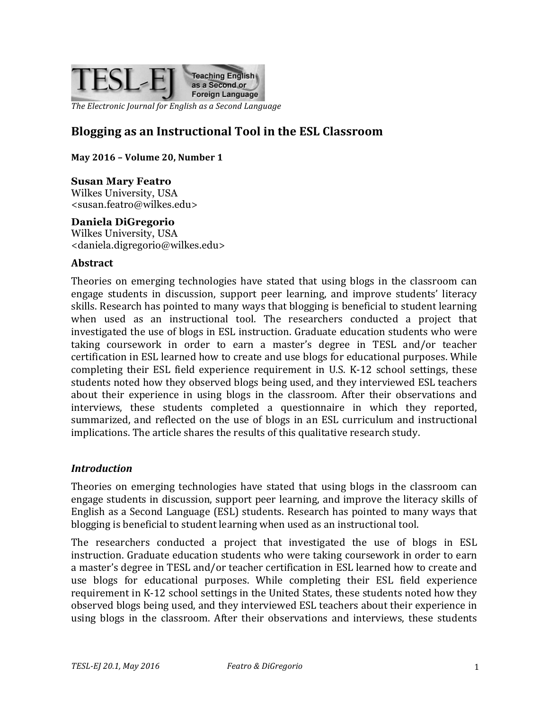

*The Electronic Journal for English as a Second Language* 

# **Blogging as an Instructional Tool in the ESL Classroom**

**May 2016 – Volume 20, Number 1**

#### **Susan Mary Featro**

Wilkes University, USA <susan.featro@wilkes.edu>

#### **Daniela DiGregorio**

Wilkes University, USA <daniela.digregorio@wilkes.edu>

#### **Abstract**

Theories on emerging technologies have stated that using blogs in the classroom can engage students in discussion, support peer learning, and improve students' literacy skills. Research has pointed to many ways that blogging is beneficial to student learning when used as an instructional tool. The researchers conducted a project that investigated the use of blogs in ESL instruction. Graduate education students who were taking coursework in order to earn a master's degree in TESL and/or teacher certification in ESL learned how to create and use blogs for educational purposes. While completing their ESL field experience requirement in U.S. K-12 school settings, these students noted how they observed blogs being used, and they interviewed ESL teachers about their experience in using blogs in the classroom. After their observations and interviews, these students completed a questionnaire in which they reported, summarized, and reflected on the use of blogs in an ESL curriculum and instructional implications. The article shares the results of this qualitative research study.

#### *Introduction*

Theories on emerging technologies have stated that using blogs in the classroom can engage students in discussion, support peer learning, and improve the literacy skills of English as a Second Language (ESL) students. Research has pointed to many ways that blogging is beneficial to student learning when used as an instructional tool.

The researchers conducted a project that investigated the use of blogs in ESL instruction. Graduate education students who were taking coursework in order to earn a master's degree in TESL and/or teacher certification in ESL learned how to create and use blogs for educational purposes. While completing their ESL field experience requirement in K-12 school settings in the United States, these students noted how they observed blogs being used, and they interviewed ESL teachers about their experience in using blogs in the classroom. After their observations and interviews, these students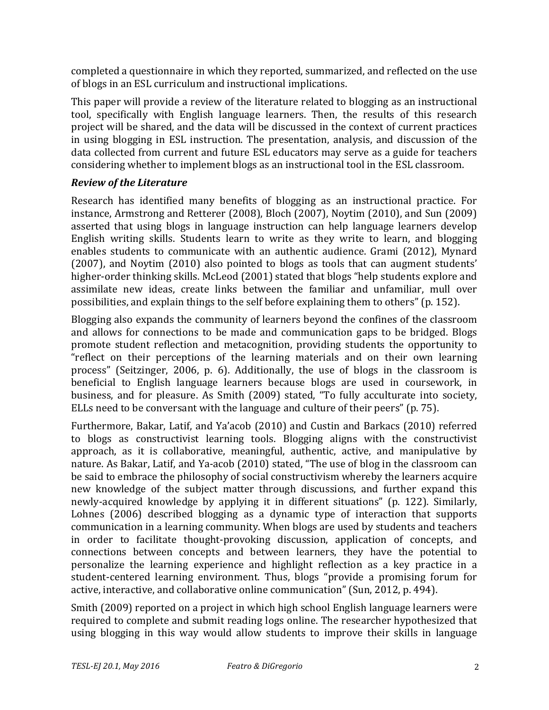completed a questionnaire in which they reported, summarized, and reflected on the use of blogs in an ESL curriculum and instructional implications.

This paper will provide a review of the literature related to blogging as an instructional tool, specifically with English language learners. Then, the results of this research project will be shared, and the data will be discussed in the context of current practices in using blogging in ESL instruction. The presentation, analysis, and discussion of the data collected from current and future ESL educators may serve as a guide for teachers considering whether to implement blogs as an instructional tool in the ESL classroom.

## **Review of the Literature**

Research has identified many benefits of blogging as an instructional practice. For instance, Armstrong and Retterer  $(2008)$ , Bloch  $(2007)$ , Noytim  $(2010)$ , and Sun  $(2009)$ asserted that using blogs in language instruction can help language learners develop English writing skills. Students learn to write as they write to learn, and blogging enables students to communicate with an authentic audience. Grami (2012), Mynard (2007), and Noytim (2010) also pointed to blogs as tools that can augment students' higher-order thinking skills. McLeod (2001) stated that blogs "help students explore and assimilate new ideas, create links between the familiar and unfamiliar, mull over possibilities, and explain things to the self before explaining them to others" (p. 152).

Blogging also expands the community of learners beyond the confines of the classroom and allows for connections to be made and communication gaps to be bridged. Blogs promote student reflection and metacognition, providing students the opportunity to "reflect on their perceptions of the learning materials and on their own learning process" (Seitzinger, 2006, p. 6). Additionally, the use of blogs in the classroom is beneficial to English language learners because blogs are used in coursework, in business, and for pleasure. As Smith (2009) stated, "To fully acculturate into society, ELLs need to be conversant with the language and culture of their peers" (p. 75).

Furthermore, Bakar, Latif, and Ya'acob (2010) and Custin and Barkacs (2010) referred to blogs as constructivist learning tools. Blogging aligns with the constructivist approach, as it is collaborative, meaningful, authentic, active, and manipulative by nature. As Bakar, Latif, and Ya-acob (2010) stated, "The use of blog in the classroom can be said to embrace the philosophy of social constructivism whereby the learners acquire new knowledge of the subject matter through discussions, and further expand this newly-acquired knowledge by applying it in different situations" (p. 122). Similarly, Lohnes  $(2006)$  described blogging as a dynamic type of interaction that supports communication in a learning community. When blogs are used by students and teachers in order to facilitate thought-provoking discussion, application of concepts, and connections between concepts and between learners, they have the potential to personalize the learning experience and highlight reflection as a key practice in a student-centered learning environment. Thus, blogs "provide a promising forum for active, interactive, and collaborative online communication" (Sun, 2012, p. 494).

Smith (2009) reported on a project in which high school English language learners were required to complete and submit reading logs online. The researcher hypothesized that using blogging in this way would allow students to improve their skills in language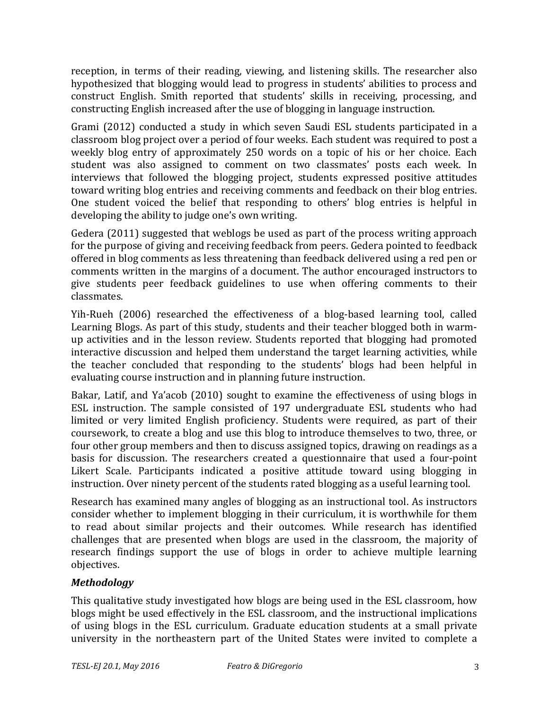reception, in terms of their reading, viewing, and listening skills. The researcher also hypothesized that blogging would lead to progress in students' abilities to process and construct English. Smith reported that students' skills in receiving, processing, and constructing English increased after the use of blogging in language instruction.

Grami (2012) conducted a study in which seven Saudi ESL students participated in a classroom blog project over a period of four weeks. Each student was required to post a weekly blog entry of approximately 250 words on a topic of his or her choice. Each student was also assigned to comment on two classmates' posts each week. In interviews that followed the blogging project, students expressed positive attitudes toward writing blog entries and receiving comments and feedback on their blog entries. One student voiced the belief that responding to others' blog entries is helpful in developing the ability to judge one's own writing.

Gedera (2011) suggested that weblogs be used as part of the process writing approach for the purpose of giving and receiving feedback from peers. Gedera pointed to feedback offered in blog comments as less threatening than feedback delivered using a red pen or comments written in the margins of a document. The author encouraged instructors to give students peer feedback guidelines to use when offering comments to their classmates.

Yih-Rueh (2006) researched the effectiveness of a blog-based learning tool, called Learning Blogs. As part of this study, students and their teacher blogged both in warmup activities and in the lesson review. Students reported that blogging had promoted interactive discussion and helped them understand the target learning activities, while the teacher concluded that responding to the students' blogs had been helpful in evaluating course instruction and in planning future instruction.

Bakar, Latif, and Ya'acob (2010) sought to examine the effectiveness of using blogs in ESL instruction. The sample consisted of 197 undergraduate ESL students who had limited or very limited English proficiency. Students were required, as part of their coursework, to create a blog and use this blog to introduce themselves to two, three, or four other group members and then to discuss assigned topics, drawing on readings as a basis for discussion. The researchers created a questionnaire that used a four-point Likert Scale. Participants indicated a positive attitude toward using blogging in instruction. Over ninety percent of the students rated blogging as a useful learning tool.

Research has examined many angles of blogging as an instructional tool. As instructors consider whether to implement blogging in their curriculum, it is worthwhile for them to read about similar projects and their outcomes. While research has identified challenges that are presented when blogs are used in the classroom, the majority of research findings support the use of blogs in order to achieve multiple learning objectives.

### *Methodology*

This qualitative study investigated how blogs are being used in the ESL classroom, how blogs might be used effectively in the ESL classroom, and the instructional implications of using blogs in the ESL curriculum. Graduate education students at a small private university in the northeastern part of the United States were invited to complete a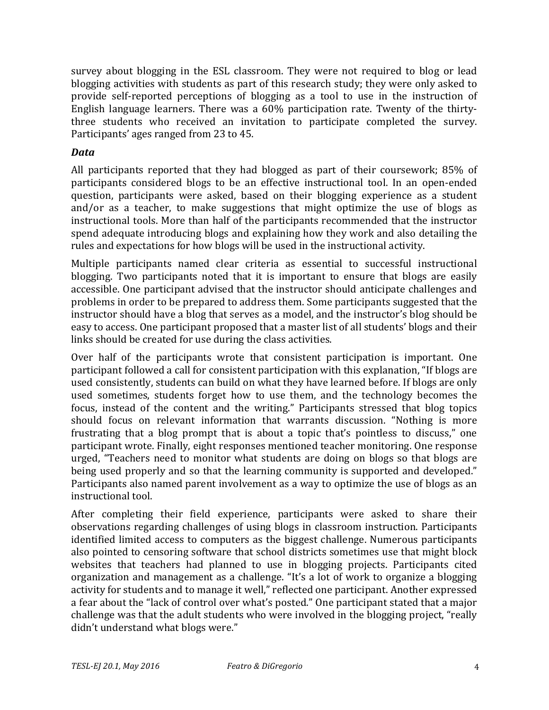survey about blogging in the ESL classroom. They were not required to blog or lead blogging activities with students as part of this research study; they were only asked to provide self-reported perceptions of blogging as a tool to use in the instruction of English language learners. There was a  $60\%$  participation rate. Twenty of the thirtythree students who received an invitation to participate completed the survey. Participants' ages ranged from 23 to 45.

### *Data*

All participants reported that they had blogged as part of their coursework;  $85\%$  of participants considered blogs to be an effective instructional tool. In an open-ended question, participants were asked, based on their blogging experience as a student and/or as a teacher, to make suggestions that might optimize the use of blogs as instructional tools. More than half of the participants recommended that the instructor spend adequate introducing blogs and explaining how they work and also detailing the rules and expectations for how blogs will be used in the instructional activity.

Multiple participants named clear criteria as essential to successful instructional blogging. Two participants noted that it is important to ensure that blogs are easily accessible. One participant advised that the instructor should anticipate challenges and problems in order to be prepared to address them. Some participants suggested that the instructor should have a blog that serves as a model, and the instructor's blog should be easy to access. One participant proposed that a master list of all students' blogs and their links should be created for use during the class activities.

Over half of the participants wrote that consistent participation is important. One participant followed a call for consistent participation with this explanation, "If blogs are used consistently, students can build on what they have learned before. If blogs are only used sometimes, students forget how to use them, and the technology becomes the focus, instead of the content and the writing." Participants stressed that blog topics should focus on relevant information that warrants discussion. "Nothing is more frustrating that a blog prompt that is about a topic that's pointless to discuss," one participant wrote. Finally, eight responses mentioned teacher monitoring. One response urged, "Teachers need to monitor what students are doing on blogs so that blogs are being used properly and so that the learning community is supported and developed." Participants also named parent involvement as a way to optimize the use of blogs as an instructional tool.

After completing their field experience, participants were asked to share their observations regarding challenges of using blogs in classroom instruction. Participants identified limited access to computers as the biggest challenge. Numerous participants also pointed to censoring software that school districts sometimes use that might block websites that teachers had planned to use in blogging projects. Participants cited organization and management as a challenge. "It's a lot of work to organize a blogging activity for students and to manage it well," reflected one participant. Another expressed a fear about the "lack of control over what's posted." One participant stated that a major challenge was that the adult students who were involved in the blogging project, "really didn't understand what blogs were."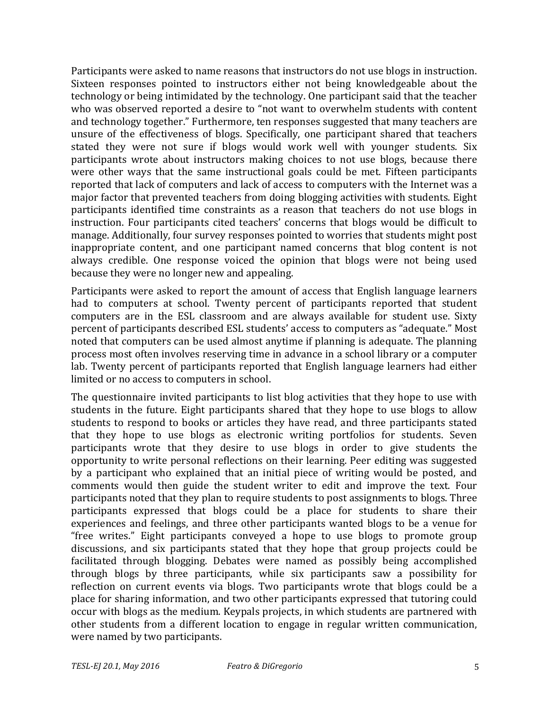Participants were asked to name reasons that instructors do not use blogs in instruction. Sixteen responses pointed to instructors either not being knowledgeable about the technology or being intimidated by the technology. One participant said that the teacher who was observed reported a desire to "not want to overwhelm students with content and technology together." Furthermore, ten responses suggested that many teachers are unsure of the effectiveness of blogs. Specifically, one participant shared that teachers stated they were not sure if blogs would work well with younger students. Six participants wrote about instructors making choices to not use blogs, because there were other ways that the same instructional goals could be met. Fifteen participants reported that lack of computers and lack of access to computers with the Internet was a major factor that prevented teachers from doing blogging activities with students. Eight participants identified time constraints as a reason that teachers do not use blogs in instruction. Four participants cited teachers' concerns that blogs would be difficult to manage. Additionally, four survey responses pointed to worries that students might post inappropriate content, and one participant named concerns that blog content is not always credible. One response voiced the opinion that blogs were not being used because they were no longer new and appealing.

Participants were asked to report the amount of access that English language learners had to computers at school. Twenty percent of participants reported that student computers are in the ESL classroom and are always available for student use. Sixty percent of participants described ESL students' access to computers as "adequate." Most noted that computers can be used almost anytime if planning is adequate. The planning process most often involves reserving time in advance in a school library or a computer lab. Twenty percent of participants reported that English language learners had either limited or no access to computers in school.

The questionnaire invited participants to list blog activities that they hope to use with students in the future. Eight participants shared that they hope to use blogs to allow students to respond to books or articles they have read, and three participants stated that they hope to use blogs as electronic writing portfolios for students. Seven participants wrote that they desire to use blogs in order to give students the opportunity to write personal reflections on their learning. Peer editing was suggested by a participant who explained that an initial piece of writing would be posted, and comments would then guide the student writer to edit and improve the text. Four participants noted that they plan to require students to post assignments to blogs. Three participants expressed that blogs could be a place for students to share their experiences and feelings, and three other participants wanted blogs to be a venue for "free writes." Eight participants conveyed a hope to use blogs to promote group discussions, and six participants stated that they hope that group projects could be facilitated through blogging. Debates were named as possibly being accomplished through blogs by three participants, while six participants saw a possibility for reflection on current events via blogs. Two participants wrote that blogs could be a place for sharing information, and two other participants expressed that tutoring could occur with blogs as the medium. Keypals projects, in which students are partnered with other students from a different location to engage in regular written communication, were named by two participants.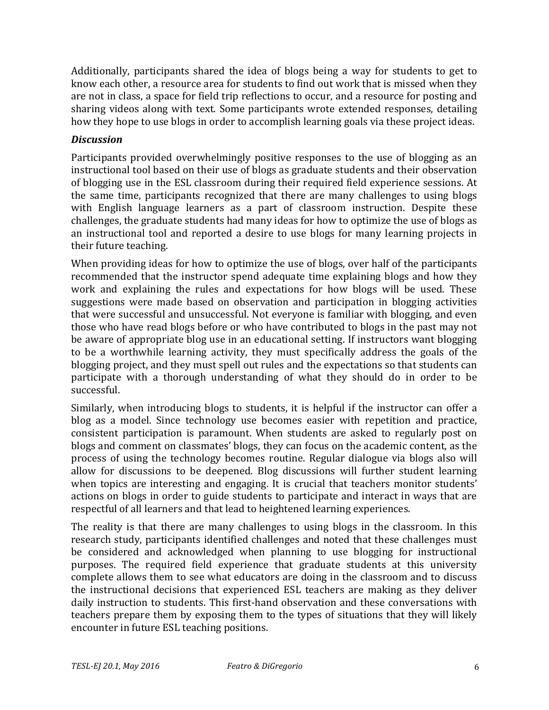Additionally, participants shared the idea of blogs being a way for students to get to know each other, a resource area for students to find out work that is missed when they are not in class, a space for field trip reflections to occur, and a resource for posting and sharing videos along with text. Some participants wrote extended responses, detailing how they hope to use blogs in order to accomplish learning goals via these project ideas.

### *Discussion*

Participants provided overwhelmingly positive responses to the use of blogging as an instructional tool based on their use of blogs as graduate students and their observation of blogging use in the ESL classroom during their required field experience sessions. At the same time, participants recognized that there are many challenges to using blogs with English language learners as a part of classroom instruction. Despite these challenges, the graduate students had many ideas for how to optimize the use of blogs as an instructional tool and reported a desire to use blogs for many learning projects in their future teaching.

When providing ideas for how to optimize the use of blogs, over half of the participants recommended that the instructor spend adequate time explaining blogs and how they work and explaining the rules and expectations for how blogs will be used. These suggestions were made based on observation and participation in blogging activities that were successful and unsuccessful. Not everyone is familiar with blogging, and even those who have read blogs before or who have contributed to blogs in the past may not be aware of appropriate blog use in an educational setting. If instructors want blogging to be a worthwhile learning activity, they must specifically address the goals of the blogging project, and they must spell out rules and the expectations so that students can participate with a thorough understanding of what they should do in order to be successful.

Similarly, when introducing blogs to students, it is helpful if the instructor can offer a blog as a model. Since technology use becomes easier with repetition and practice, consistent participation is paramount. When students are asked to regularly post on blogs and comment on classmates' blogs, they can focus on the academic content, as the process of using the technology becomes routine. Regular dialogue via blogs also will allow for discussions to be deepened. Blog discussions will further student learning when topics are interesting and engaging. It is crucial that teachers monitor students' actions on blogs in order to guide students to participate and interact in ways that are respectful of all learners and that lead to heightened learning experiences.

The reality is that there are many challenges to using blogs in the classroom. In this research study, participants identified challenges and noted that these challenges must be considered and acknowledged when planning to use blogging for instructional purposes. The required field experience that graduate students at this university complete allows them to see what educators are doing in the classroom and to discuss the instructional decisions that experienced ESL teachers are making as they deliver daily instruction to students. This first-hand observation and these conversations with teachers prepare them by exposing them to the types of situations that they will likely encounter in future ESL teaching positions.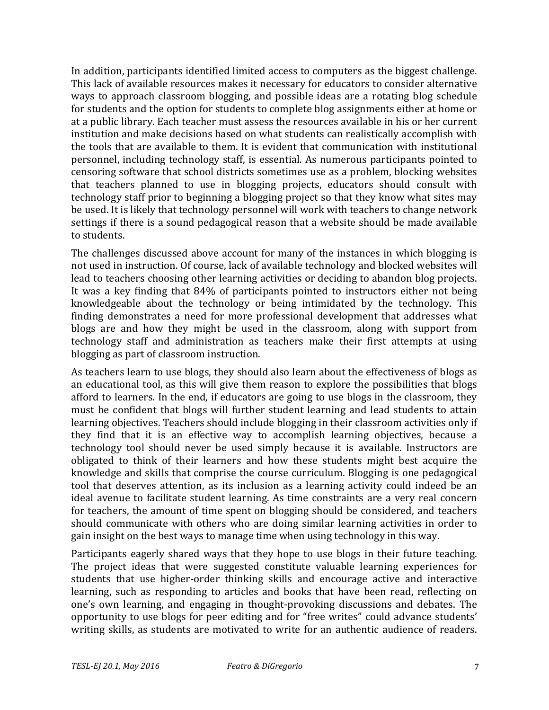In addition, participants identified limited access to computers as the biggest challenge. This lack of available resources makes it necessary for educators to consider alternative ways to approach classroom blogging, and possible ideas are a rotating blog schedule for students and the option for students to complete blog assignments either at home or at a public library. Each teacher must assess the resources available in his or her current institution and make decisions based on what students can realistically accomplish with the tools that are available to them. It is evident that communication with institutional personnel, including technology staff, is essential. As numerous participants pointed to censoring software that school districts sometimes use as a problem, blocking websites that teachers planned to use in blogging projects, educators should consult with technology staff prior to beginning a blogging project so that they know what sites may be used. It is likely that technology personnel will work with teachers to change network settings if there is a sound pedagogical reason that a website should be made available to students.

The challenges discussed above account for many of the instances in which blogging is not used in instruction. Of course, lack of available technology and blocked websites will lead to teachers choosing other learning activities or deciding to abandon blog projects. It was a key finding that 84% of participants pointed to instructors either not being knowledgeable about the technology or being intimidated by the technology. This finding demonstrates a need for more professional development that addresses what blogs are and how they might be used in the classroom, along with support from technology staff and administration as teachers make their first attempts at using blogging as part of classroom instruction.

As teachers learn to use blogs, they should also learn about the effectiveness of blogs as an educational tool, as this will give them reason to explore the possibilities that blogs afford to learners. In the end, if educators are going to use blogs in the classroom, they must be confident that blogs will further student learning and lead students to attain learning objectives. Teachers should include blogging in their classroom activities only if they find that it is an effective way to accomplish learning objectives, because a technology tool should never be used simply because it is available. Instructors are obligated to think of their learners and how these students might best acquire the knowledge and skills that comprise the course curriculum. Blogging is one pedagogical tool that deserves attention, as its inclusion as a learning activity could indeed be an ideal avenue to facilitate student learning. As time constraints are a very real concern for teachers, the amount of time spent on blogging should be considered, and teachers should communicate with others who are doing similar learning activities in order to gain insight on the best ways to manage time when using technology in this way.

Participants eagerly shared ways that they hope to use blogs in their future teaching. The project ideas that were suggested constitute valuable learning experiences for students that use higher-order thinking skills and encourage active and interactive learning, such as responding to articles and books that have been read, reflecting on one's own learning, and engaging in thought-provoking discussions and debates. The opportunity to use blogs for peer editing and for "free writes" could advance students' writing skills, as students are motivated to write for an authentic audience of readers.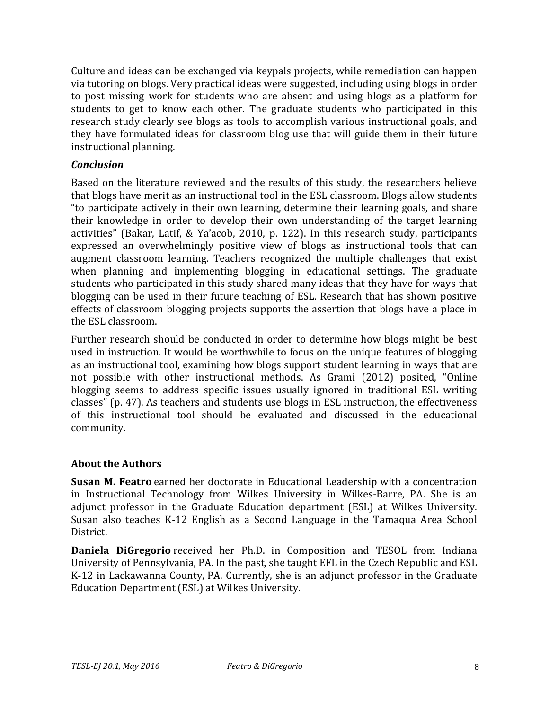Culture and ideas can be exchanged via keypals projects, while remediation can happen via tutoring on blogs. Very practical ideas were suggested, including using blogs in order to post missing work for students who are absent and using blogs as a platform for students to get to know each other. The graduate students who participated in this research study clearly see blogs as tools to accomplish various instructional goals, and they have formulated ideas for classroom blog use that will guide them in their future instructional planning.

### *Conclusion*

Based on the literature reviewed and the results of this study, the researchers believe that blogs have merit as an instructional tool in the ESL classroom. Blogs allow students "to participate actively in their own learning, determine their learning goals, and share their knowledge in order to develop their own understanding of the target learning activities" (Bakar, Latif, & Ya'acob, 2010, p. 122). In this research study, participants expressed an overwhelmingly positive view of blogs as instructional tools that can augment classroom learning. Teachers recognized the multiple challenges that exist when planning and implementing blogging in educational settings. The graduate students who participated in this study shared many ideas that they have for ways that blogging can be used in their future teaching of ESL. Research that has shown positive effects of classroom blogging projects supports the assertion that blogs have a place in the ESL classroom.

Further research should be conducted in order to determine how blogs might be best used in instruction. It would be worthwhile to focus on the unique features of blogging as an instructional tool, examining how blogs support student learning in ways that are not possible with other instructional methods. As Grami (2012) posited, "Online blogging seems to address specific issues usually ignored in traditional ESL writing classes" (p. 47). As teachers and students use blogs in ESL instruction, the effectiveness of this instructional tool should be evaluated and discussed in the educational community.

### **About the Authors**

**Susan M. Featro** earned her doctorate in Educational Leadership with a concentration in Instructional Technology from Wilkes University in Wilkes-Barre, PA. She is an adjunct professor in the Graduate Education department (ESL) at Wilkes University. Susan also teaches K-12 English as a Second Language in the Tamaqua Area School District.

**Daniela DiGregorio** received her Ph.D. in Composition and TESOL from Indiana University of Pennsylvania, PA. In the past, she taught EFL in the Czech Republic and ESL K-12 in Lackawanna County, PA. Currently, she is an adjunct professor in the Graduate Education Department (ESL) at Wilkes University.